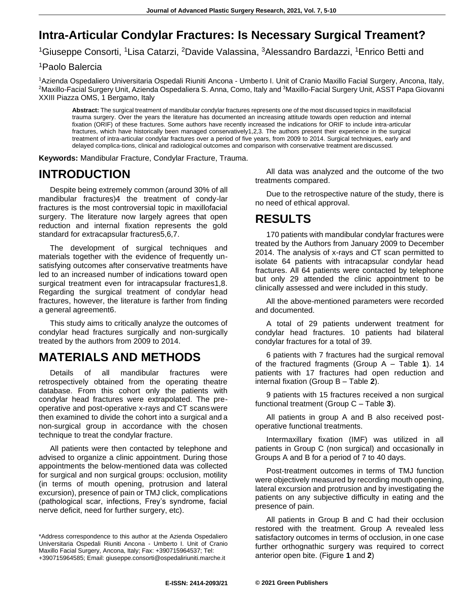# **Intra-Articular Condylar Fractures: Is Necessary Surgical Treament?**

<sup>1</sup>Giuseppe Consorti, <sup>1</sup>Lisa Catarzi, <sup>2</sup>Davide Valassina, <sup>3</sup>Alessandro Bardazzi, <sup>1</sup>Enrico Betti and

#### <sup>1</sup>Paolo Balercia

<sup>1</sup>Azienda Ospedaliero Universitaria Ospedali Riuniti Ancona - Umberto I. Unit of Cranio Maxillo Facial Surgery, Ancona, Italy, <sup>2</sup>Maxillo-Facial Surgery Unit, Azienda Ospedaliera S. Anna, Como, Italy and <sup>3</sup>Maxillo-Facial Surgery Unit, ASST Papa Giovanni XXIII Piazza OMS, 1 Bergamo, Italy

**Abstract:** The surgical treatment of mandibular condylar fractures represents one of the most discussed topics in maxillofacial trauma surgery. Over the years the literature has documented an increasing attitude towards open reduction and internal fixation (ORIF) of these fractures. Some authors have recently increased the indications for ORIF to include intra-articular fractures, which have historically been managed conservatively1,2,3. The authors present their experience in the surgical treatment of intra-articular condylar fractures over a period of five years, from 2009 to 2014. Surgical techniques, early and delayed complica-tions, clinical and radiological outcomes and comparison with conservative treatment are discussed.

**Keywords:** Mandibular Fracture, Condylar Fracture, Trauma.

## **INTRODUCTION**

Despite being extremely common (around 30% of all mandibular fractures)4 the treatment of condy-lar fractures is the most controversial topic in maxillofacial surgery. The literature now largely agrees that open reduction and internal fixation represents the gold standard for extracapsular fractures5,6,7.

The development of surgical techniques and materials together with the evidence of frequently unsatisfying outcomes after conservative treatments have led to an increased number of indications toward open surgical treatment even for intracapsular fractures1,8. Regarding the surgical treatment of condylar head fractures, however, the literature is farther from finding a general agreement6.

This study aims to critically analyze the outcomes of condylar head fractures surgically and non-surgically treated by the authors from 2009 to 2014.

### **MATERIALS AND METHODS**

Details of all mandibular fractures were retrospectively obtained from the operating theatre database. From this cohort only the patients with condylar head fractures were extrapolated. The preoperative and post-operative x-rays and CT scanswere then examined to divide the cohort into a surgical and a non-surgical group in accordance with the chosen technique to treat the condylar fracture.

All patients were then contacted by telephone and advised to organize a clinic appointment. During those appointments the below-mentioned data was collected for surgical and non surgical groups: occlusion, motility (in terms of mouth opening, protrusion and lateral excursion), presence of pain or TMJ click, complications (pathological scar, infections, Frey's syndrome, facial nerve deficit, need for further surgery, etc).

All data was analyzed and the outcome of the two treatments compared.

Due to the retrospective nature of the study, there is no need of ethical approval.

# **RESULTS**

170 patients with mandibular condylar fractures were treated by the Authors from January 2009 to December 2014. The analysis of x-rays and CT scan permitted to isolate 64 patients with intracapsular condylar head fractures. All 64 patients were contacted by telephone but only 29 attended the clinic appointment to be clinically assessed and were included in this study.

All the above-mentioned parameters were recorded and documented.

A total of 29 patients underwent treatment for condylar head fractures. 10 patients had bilateral condylar fractures for a total of 39.

6 patients with 7 fractures had the surgical removal of the fractured fragments (Group A – Table **1**). 14 patients with 17 fractures had open reduction and internal fixation (Group B – Table **2**).

9 patients with 15 fractures received a non surgical functional treatment (Group C – Table **3**).

All patients in group A and B also received postoperative functional treatments.

Intermaxillary fixation (IMF) was utilized in all patients in Group C (non surgical) and occasionally in Groups A and B for a period of 7 to 40 days.

Post-treatment outcomes in terms of TMJ function were objectively measured by recording mouth opening, lateral excursion and protrusion and by investigating the patients on any subjective difficulty in eating and the presence of pain.

All patients in Group B and C had their occlusion restored with the treatment. Group A revealed less satisfactory outcomes in terms of occlusion, in one case further orthognathic surgery was required to correct anterior open bite. (Figure **1** and **2**)

<sup>\*</sup>Address correspondence to this author at the Azienda Ospedaliero Universitaria Ospedali Riuniti Ancona - Umberto I. Unit of Cranio Maxillo Facial Surgery, Ancona, Italy; Fax: +390715964537; Tel: +390715964585; Email[: giuseppe.consorti@ospedaliriuniti.marche.it](mailto:giuseppe.consorti@ospedaliriuniti.marche.it)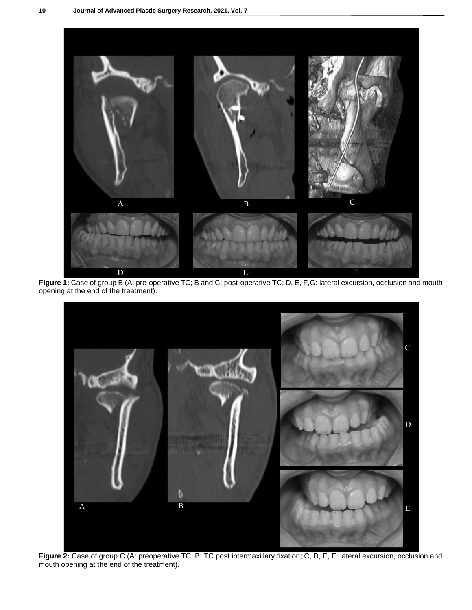

**Figure 1:** Case of group B (A: pre-operative TC; B and C: post-operative TC; D, E, F,G: lateral excursion, occlusion and mouth opening at the end of the treatment).



Figure 2: Case of group C (A: preoperative TC; B: TC post intermaxillary fixation; C, D, E, F: lateral excursion, occlusion and mouth opening at the end of the treatment).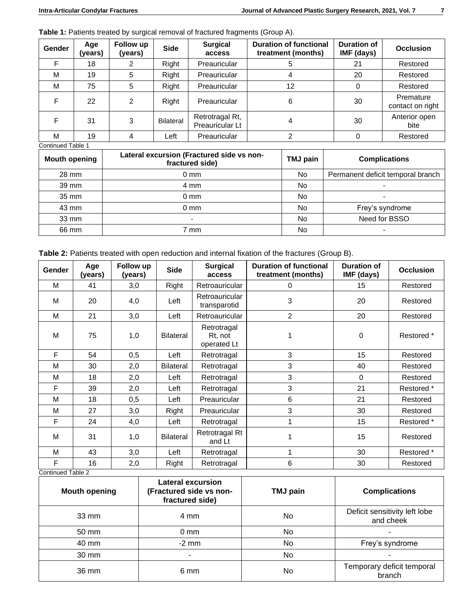Table 1: Patients treated by surgical removal of fractured fragments (Group A).

| <b>Gender</b> | Age<br>(years) | Follow up<br>(years) | <b>Side</b>      | <b>Surgical</b><br>access          | <b>Duration of functional</b><br>treatment (months) | <b>Duration of</b><br>IMF (days) | <b>Occlusion</b>              |
|---------------|----------------|----------------------|------------------|------------------------------------|-----------------------------------------------------|----------------------------------|-------------------------------|
| F             | 18             | っ                    | Right            | Preauricular                       | 5                                                   | 21                               | Restored                      |
| M             | 19             | 5                    | Right            | Preauricular                       | 4                                                   | 20                               | Restored                      |
| M             | 75             | 5                    | Right            | Preauricular                       | 12                                                  | 0                                | Restored                      |
| F             | 22             | 2                    | Right            | Preauricular                       | 6                                                   | 30                               | Premature<br>contact on right |
| F             | 31             | 3                    | <b>Bilateral</b> | Retrotragal Rt,<br>Preauricular Lt | 4                                                   | 30                               | Anterior open<br>bite         |
| M             | 19             | 4                    | Left             | Preauricular                       | 2                                                   | 0                                | Restored                      |

Continued Table 1

| <b>Mouth opening</b> | Lateral excursion (Fractured side vs non-<br>fractured side) | <b>TMJ</b> pain | <b>Complications</b>              |
|----------------------|--------------------------------------------------------------|-----------------|-----------------------------------|
| 28 mm                | $0 \text{ mm}$                                               | <b>No</b>       | Permanent deficit temporal branch |
| 39 mm                | 4 mm                                                         | No              | $\blacksquare$                    |
| 35 mm                | $0 \text{ mm}$                                               | <b>No</b>       | -                                 |
| 43 mm                | $0 \text{ mm}$                                               | No              | Frey's syndrome                   |
| 33 mm                | $\,$                                                         | <b>No</b>       | Need for BSSO                     |
| 66 mm                | 7 mm                                                         | No              | -                                 |

| Table 2: Patients treated with open reduction and internal fixation of the fractures (Group B). |
|-------------------------------------------------------------------------------------------------|
|-------------------------------------------------------------------------------------------------|

| Gender            | Age<br>(years) | Follow up<br>(years) | <b>Side</b>      | <b>Surgical</b><br><b>Duration of functional</b><br>treatment (months)<br>access |                | <b>Duration of</b><br>IMF (days) | <b>Occlusion</b> |
|-------------------|----------------|----------------------|------------------|----------------------------------------------------------------------------------|----------------|----------------------------------|------------------|
| M                 | 41             | 3,0                  | Right            | Retroauricular                                                                   | 0              |                                  | Restored         |
| M                 | 20             | 4,0                  | Left             | Retroauricular<br>transparotid                                                   | 3              | 20                               | Restored         |
| M                 | 21             | 3,0                  | Left             | Retroauricular                                                                   | $\overline{2}$ | 20                               | Restored         |
| M                 | 75             | 1,0                  | <b>Bilateral</b> | Retrotragal<br>Rt, not<br>operated Lt                                            |                |                                  | Restored *       |
| F                 | 54             | 0,5                  | Left             | Retrotragal                                                                      | 3              | 15                               | Restored         |
| M                 | 30             | 2,0                  | <b>Bilateral</b> | Retrotragal                                                                      | 3              | 40                               | Restored         |
| М                 | 18             | 2,0                  | Left             | Retrotragal                                                                      | 3              | $\Omega$                         | Restored         |
| F                 | 39             | 2,0                  | Left             | Retrotragal                                                                      | 3              | 21                               | Restored *       |
| М                 | 18             | 0,5                  | Left             | Preauricular                                                                     | 6              | 21                               | Restored         |
| M                 | 27             | 3,0                  | Right            | Preauricular                                                                     | 3              | 30                               | Restored         |
| F                 | 24             | 4,0                  | Left             | Retrotragal                                                                      | 1              | 15                               | Restored *       |
| M                 | 31             | 1,0                  | <b>Bilateral</b> | Retrotragal Rt<br>1<br>and Lt                                                    |                | 15                               | Restored         |
| M                 | 43             | 3,0                  | Left             | Retrotragal                                                                      | 1              | 30                               | Restored *       |
| F                 | 16             | 2,0                  | Right            | 6<br>Retrotragal                                                                 |                | 30                               | Restored         |
| Continued Table 2 |                |                      |                  |                                                                                  |                |                                  |                  |

| <b>Mouth opening</b> | <b>Lateral excursion</b><br>(Fractured side vs non-<br>fractured side) | <b>TMJ</b> pain | <b>Complications</b>                       |
|----------------------|------------------------------------------------------------------------|-----------------|--------------------------------------------|
| $33 \text{ mm}$      | 4 mm                                                                   | No.             | Deficit sensitivity left lobe<br>and cheek |
| 50 mm                | $0 \text{ mm}$                                                         | No.             |                                            |
| 40 mm                | $-2$ mm                                                                | No.             | Frey's syndrome                            |
| 30 mm                | ٠                                                                      | No              | -                                          |
| $36 \text{ mm}$      | 6 mm                                                                   | No.             | Temporary deficit temporal<br>branch       |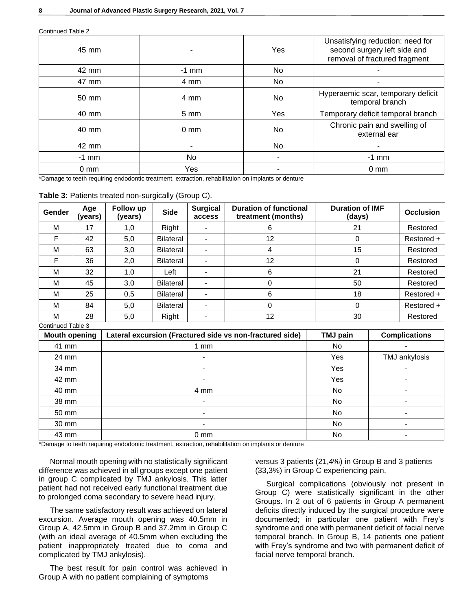Continued Table 2

| 45 mm          |                 | Yes | Unsatisfying reduction: need for<br>second surgery left side and<br>removal of fractured fragment |
|----------------|-----------------|-----|---------------------------------------------------------------------------------------------------|
| 42 mm          | $-1$ mm         | No. |                                                                                                   |
| 47 mm          | $4 \text{ mm}$  | No. | ۰                                                                                                 |
| 50 mm          | 4 mm            | No  | Hyperaemic scar, temporary deficit<br>temporal branch                                             |
| 40 mm          | 5 <sub>mm</sub> | Yes | Temporary deficit temporal branch                                                                 |
| 40 mm          | $0 \text{ mm}$  | No  | Chronic pain and swelling of<br>external ear                                                      |
| 42 mm          |                 | No. |                                                                                                   |
| $-1$ mm        | No.             |     | $-1$ mm                                                                                           |
| $0 \text{ mm}$ | Yes             |     | $0 \text{ mm}$                                                                                    |

\*Damage to teeth requiring endodontic treatment, extraction, rehabilitation on implants or denture

| Table 3: Patients treated non-surgically (Group C). |  |  |  |
|-----------------------------------------------------|--|--|--|
|-----------------------------------------------------|--|--|--|

| Gender                   | Age<br>(years) | Follow up<br>(years) | <b>Side</b>      | <b>Surgical</b><br>access | <b>Duration of functional</b><br>treatment (months) | <b>Duration of IMF</b><br>(days) | <b>Occlusion</b> |
|--------------------------|----------------|----------------------|------------------|---------------------------|-----------------------------------------------------|----------------------------------|------------------|
| M                        | 17             | 1,0                  | Right            |                           | 6                                                   | 21                               | Restored         |
| F                        | 42             | 5,0                  | <b>Bilateral</b> | $\blacksquare$            | 12                                                  | 0                                | Restored +       |
| M                        | 63             | 3,0                  | <b>Bilateral</b> | $\overline{\phantom{0}}$  | 4                                                   | 15                               | Restored         |
| F                        | 36             | 2,0                  | <b>Bilateral</b> | $\overline{\phantom{0}}$  | 12                                                  | 0                                | Restored         |
| M                        | 32             | 1,0                  | Left             |                           | 6                                                   | 21                               | Restored         |
| M                        | 45             | 3,0                  | <b>Bilateral</b> | $\blacksquare$            | 0                                                   | 50                               | Restored         |
| M                        | 25             | 0,5                  | <b>Bilateral</b> |                           | 6                                                   | 18                               | Restored +       |
| M                        | 84             | 5,0                  | <b>Bilateral</b> | $\blacksquare$            | 0                                                   | 0                                | Restored +       |
| M                        | 28             | 5,0                  | Right            | $\blacksquare$            | 12                                                  | 30                               | Restored         |
| <b>Continued Table 3</b> |                |                      |                  |                           |                                                     |                                  |                  |

| <b>Mouth opening</b> | Lateral excursion (Fractured side vs non-fractured side) | <b>TMJ pain</b> | <b>Complications</b>     |
|----------------------|----------------------------------------------------------|-----------------|--------------------------|
| 41 mm                | 1 $mm$                                                   | N <sub>o</sub>  |                          |
| 24 mm                | $\blacksquare$                                           | Yes             | TMJ ankylosis            |
| 34 mm                | $\overline{\phantom{0}}$                                 | Yes             |                          |
| 42 mm                | $\blacksquare$                                           | Yes             |                          |
| 40 mm                | 4 mm                                                     | No              |                          |
| 38 mm                | $\blacksquare$                                           | N <sub>o</sub>  |                          |
| 50 mm                | $\overline{\phantom{0}}$                                 | No              |                          |
| $30 \text{ mm}$      | $\blacksquare$                                           | No              | $\overline{\phantom{a}}$ |
| 43 mm                | 0 <sub>mm</sub>                                          | No              |                          |

\*Damage to teeth requiring endodontic treatment, extraction, rehabilitation on implants or denture

Normal mouth opening with no statistically significant difference was achieved in all groups except one patient in group C complicated by TMJ ankylosis. This latter patient had not received early functional treatment due to prolonged coma secondary to severe head injury.

The same satisfactory result was achieved on lateral excursion. Average mouth opening was 40.5mm in Group A, 42.5mm in Group B and 37.2mm in Group C (with an ideal average of 40.5mm when excluding the patient inappropriately treated due to coma and complicated by TMJ ankylosis).

The best result for pain control was achieved in Group A with no patient complaining of symptoms

versus 3 patients (21,4%) in Group B and 3 patients (33,3%) in Group C experiencing pain.

Surgical complications (obviously not present in Group C) were statistically significant in the other Groups. In 2 out of 6 patients in Group A permanent deficits directly induced by the surgical procedure were documented; in particular one patient with Frey's syndrome and one with permanent deficit of facial nerve temporal branch. In Group B, 14 patients one patient with Frey's syndrome and two with permanent deficit of facial nerve temporal branch.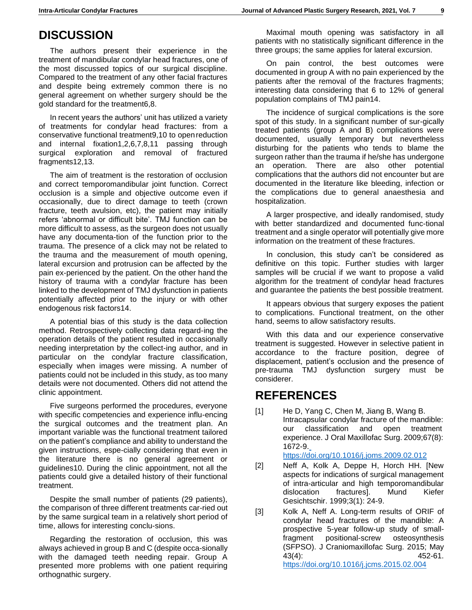# **DISCUSSION**

The authors present their experience in the treatment of mandibular condylar head fractures, one of the most discussed topics of our surgical discipline. Compared to the treatment of any other facial fractures and despite being extremely common there is no general agreement on whether surgery should be the gold standard for the treatment6,8.

In recent years the authors' unit has utilized a variety of treatments for condylar head fractures: from a conservative functional treatment9,10 to openreduction and internal fixation1,2,6,7,8,11 passing through surgical exploration and removal of fractured fragments12,13.

The aim of treatment is the restoration of occlusion and correct temporomandibular joint function. Correct occlusion is a simple and objective outcome even if occasionally, due to direct damage to teeth (crown fracture, teeth avulsion, etc), the patient may initially refers 'abnormal or difficult bite'. TMJ function can be more difficult to assess, as the surgeon does not usually have any documenta-tion of the function prior to the trauma. The presence of a click may not be related to the trauma and the measurement of mouth opening, lateral excursion and protrusion can be affected by the pain ex-perienced by the patient. On the other hand the history of trauma with a condylar fracture has been linked to the development of TMJ dysfunction in patients potentially affected prior to the injury or with other endogenous risk factors14.

A potential bias of this study is the data collection method. Retrospectively collecting data regard-ing the operation details of the patient resulted in occasionally needing interpretation by the collect-ing author, and in particular on the condylar fracture classification, especially when images were missing. A number of patients could not be included in this study, as too many details were not documented. Others did not attend the clinic appointment.

Five surgeons performed the procedures, everyone with specific competencies and experience influ-encing the surgical outcomes and the treatment plan. An important variable was the functional treatment tailored on the patient's compliance and ability to understand the given instructions, espe-cially considering that even in the literature there is no general agreement or guidelines10. During the clinic appointment, not all the patients could give a detailed history of their functional treatment.

Despite the small number of patients (29 patients), the comparison of three different treatments car-ried out by the same surgical team in a relatively short period of time, allows for interesting conclu-sions.

Regarding the restoration of occlusion, this was always achieved in group B and C (despite occa-sionally with the damaged teeth needing repair. Group A presented more problems with one patient requiring orthognathic surgery.

Maximal mouth opening was satisfactory in all patients with no statistically significant difference in the three groups; the same applies for lateral excursion.

On pain control, the best outcomes were documented in group A with no pain experienced by the patients after the removal of the fractures fragments; interesting data considering that 6 to 12% of general population complains of TMJ pain14.

The incidence of surgical complications is the sore spot of this study. In a significant number of sur-gically treated patients (group A and B) complications were documented, usually temporary but nevertheless disturbing for the patients who tends to blame the surgeon rather than the trauma if he/she has undergone an operation. There are also other potential complications that the authors did not encounter but are documented in the literature like bleeding, infection or the complications due to general anaesthesia and hospitalization.

A larger prospective, and ideally randomised, study with better standardized and documented func-tional treatment and a single operator will potentially give more information on the treatment of these fractures.

In conclusion, this study can't be considered as definitive on this topic. Further studies with larger samples will be crucial if we want to propose a valid algorithm for the treatment of condylar head fractures and guarantee the patients the best possible treatment.

It appears obvious that surgery exposes the patient to complications. Functional treatment, on the other hand, seems to allow satisfactory results.

With this data and our experience conservative treatment is suggested. However in selective patient in accordance to the fracture position, degree of displacement, patient's occlusion and the presence of pre-trauma TMJ dysfunction surgery must be considerer.

## **REFERENCES**

[1] He D, Yang C, Chen M, Jiang B, Wang B. Intracapsular condylar fracture of the mandible: our classification and open treatment experience. J Oral Maxillofac Surg. 2009;67(8): 1672-9.

<https://doi.org/10.1016/j.joms.2009.02.012>

- [2] Neff A, Kolk A, Deppe H, Horch HH. [New aspects for indications of surgical management of intra-articular and high temporomandibular dislocation fractures]. Mund Kiefer Gesichtschir. 1999;3(1): 24-9.
- [3] Kolk A, Neff A. Long-term results of ORIF of condylar head fractures of the mandible: A prospective 5-year follow-up study of smallfragment positional-screw osteosynthesis (SFPSO). J Craniomaxillofac Surg. 2015; May 43(4): 452-61. <https://doi.org/10.1016/j.jcms.2015.02.004>